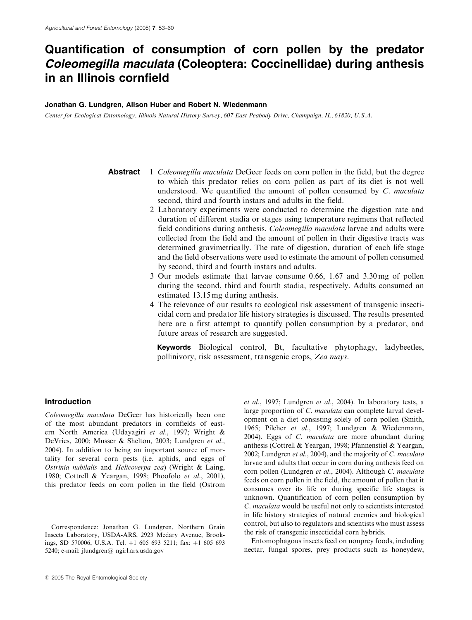# Quantification of consumption of corn pollen by the predator Coleomegilla maculata (Coleoptera: Coccinellidae) during anthesis in an Illinois cornfield

#### Jonathan G. Lundgren, Alison Huber and Robert N. Wiedenmann

Center for Ecological Entomology, Illinois Natural History Survey, 607 East Peabody Drive, Champaign, IL, 61820, U.S.A.

- **Abstract** 1 *Coleomegilla maculata* DeGeer feeds on corn pollen in the field, but the degree to which this predator relies on corn pollen as part of its diet is not well understood. We quantified the amount of pollen consumed by  $C$ . maculata second, third and fourth instars and adults in the field.
	- 2 Laboratory experiments were conducted to determine the digestion rate and duration of different stadia or stages using temperature regimens that reflected field conditions during anthesis. Coleomegilla maculata larvae and adults were collected from the field and the amount of pollen in their digestive tracts was determined gravimetrically. The rate of digestion, duration of each life stage and the field observations were used to estimate the amount of pollen consumed by second, third and fourth instars and adults.
	- 3 Our models estimate that larvae consume 0.66, 1.67 and 3.30 mg of pollen during the second, third and fourth stadia, respectively. Adults consumed an estimated 13.15 mg during anthesis.
	- 4 The relevance of our results to ecological risk assessment of transgenic insecticidal corn and predator life history strategies is discussed. The results presented here are a first attempt to quantify pollen consumption by a predator, and future areas of research are suggested.

Keywords Biological control, Bt, facultative phytophagy, ladybeetles, pollinivory, risk assessment, transgenic crops, Zea mays.

# Introduction

Coleomegilla maculata DeGeer has historically been one of the most abundant predators in cornfields of eastern North America (Udayagiri et al., 1997; Wright & DeVries, 2000; Musser & Shelton, 2003; Lundgren et al., 2004). In addition to being an important source of mortality for several corn pests (i.e. aphids, and eggs of Ostrinia nubilalis and Helicoverpa zea) (Wright & Laing, 1980; Cottrell & Yeargan, 1998; Phoofolo et al., 2001), this predator feeds on corn pollen in the field (Ostrom et al., 1997; Lundgren et al., 2004). In laboratory tests, a large proportion of C. maculata can complete larval development on a diet consisting solely of corn pollen (Smith, 1965; Pilcher et al., 1997; Lundgren & Wiedenmann, 2004). Eggs of C. maculata are more abundant during anthesis (Cottrell & Yeargan, 1998; Pfannenstiel & Yeargan, 2002; Lundgren et al., 2004), and the majority of C. maculata larvae and adults that occur in corn during anthesis feed on corn pollen (Lundgren et al., 2004). Although C. maculata feeds on corn pollen in the field, the amount of pollen that it consumes over its life or during specific life stages is unknown. Quantification of corn pollen consumption by C. maculata would be useful not only to scientists interested in life history strategies of natural enemies and biological control, but also to regulators and scientists who must assess the risk of transgenic insecticidal corn hybrids.

Entomophagous insects feed on nonprey foods, including nectar, fungal spores, prey products such as honeydew,

Correspondence: Jonathan G. Lundgren, Northern Grain Insects Laboratory, USDA-ARS, 2923 Medary Avenue, Brookings, SD 570006, U.S.A. Tel.  $+1$  605 693 5211; fax:  $+1$  605 693 5240; e-mail: jlundgren@ ngirl.ars.usda.gov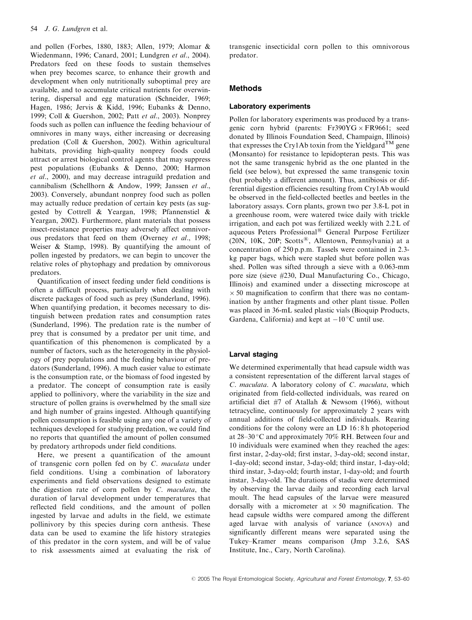and pollen (Forbes, 1880, 1883; Allen, 1979; Alomar & Wiedenmann, 1996; Canard, 2001; Lundgren et al., 2004). Predators feed on these foods to sustain themselves when prey becomes scarce, to enhance their growth and development when only nutritionally suboptimal prey are available, and to accumulate critical nutrients for overwintering, dispersal and egg maturation (Schneider, 1969; Hagen, 1986; Jervis & Kidd, 1996; Eubanks & Denno, 1999; Coll & Guershon, 2002; Patt et al., 2003). Nonprey foods such as pollen can influence the feeding behaviour of omnivores in many ways, either increasing or decreasing predation (Coll & Guershon, 2002). Within agricultural habitats, providing high-quality nonprey foods could attract or arrest biological control agents that may suppress pest populations (Eubanks & Denno, 2000; Harmon et al., 2000), and may decrease intraguild predation and cannibalism (Schellhorn & Andow, 1999; Janssen et al., 2003). Conversely, abundant nonprey food such as pollen may actually reduce predation of certain key pests (as suggested by Cottrell & Yeargan, 1998; Pfannenstiel & Yeargan, 2002). Furthermore, plant materials that possess insect-resistance properties may adversely affect omnivorous predators that feed on them (Overney et al., 1998; Weiser & Stamp, 1998). By quantifying the amount of pollen ingested by predators, we can begin to uncover the relative roles of phytophagy and predation by omnivorous predators.

Quantification of insect feeding under field conditions is often a difficult process, particularly when dealing with discrete packages of food such as prey (Sunderland, 1996). When quantifying predation, it becomes necessary to distinguish between predation rates and consumption rates (Sunderland, 1996). The predation rate is the number of prey that is consumed by a predator per unit time, and quantification of this phenomenon is complicated by a number of factors, such as the heterogeneity in the physiology of prey populations and the feeding behaviour of predators (Sunderland, 1996). A much easier value to estimate is the consumption rate, or the biomass of food ingested by a predator. The concept of consumption rate is easily applied to pollinivory, where the variability in the size and structure of pollen grains is overwhelmed by the small size and high number of grains ingested. Although quantifying pollen consumption is feasible using any one of a variety of techniques developed for studying predation, we could find no reports that quantified the amount of pollen consumed by predatory arthropods under field conditions.

Here, we present a quantification of the amount of transgenic corn pollen fed on by C. maculata under field conditions. Using a combination of laboratory experiments and field observations designed to estimate the digestion rate of corn pollen by C. maculata, the duration of larval development under temperatures that reflected field conditions, and the amount of pollen ingested by larvae and adults in the field, we estimate pollinivory by this species during corn anthesis. These data can be used to examine the life history strategies of this predator in the corn system, and will be of value to risk assessments aimed at evaluating the risk of transgenic insecticidal corn pollen to this omnivorous predator.

## Methods

## Laboratory experiments

Pollen for laboratory experiments was produced by a transgenic corn hybrid (parents:  $Fr390YG \times FR9661$ ; seed donated by Illinois Foundation Seed, Champaign, Illinois) that expresses the Cry1Ab toxin from the Yieldgard<sup>TM</sup> gene (Monsanto) for resistance to lepidopteran pests. This was not the same transgenic hybrid as the one planted in the field (see below), but expressed the same transgenic toxin (but probably a different amount). Thus, antibiosis or differential digestion efficiencies resulting from Cry1Ab would be observed in the field-collected beetles and beetles in the laboratory assays. Corn plants, grown two per 3.8-L pot in a greenhouse room, were watered twice daily with trickle irrigation, and each pot was fertilized weekly with 2.2 L of aqueous Peters Professional<sup>®</sup> General Purpose Fertilizer (20N, 10K, 20P; Scotts $^{(8)}$ , Allentown, Pennsylvania) at a concentration of 250 p.p.m. Tassels were contained in 2.3 kg paper bags, which were stapled shut before pollen was shed. Pollen was sifted through a sieve with a 0.063-mm pore size (sieve #230, Dual Manufacturing Co., Chicago, Illinois) and examined under a dissecting microscope at  $\times$  50 magnification to confirm that there was no contamination by anther fragments and other plant tissue. Pollen was placed in 36-mL sealed plastic vials (Bioquip Products, Gardena, California) and kept at  $-10^{\circ}$ C until use.

#### Larval staging

We determined experimentally that head capsule width was a consistent representation of the different larval stages of C. maculata. A laboratory colony of C. maculata, which originated from field-collected individuals, was reared on artificial diet  $#7$  of Atallah & Newsom (1966), without tetracycline, continuously for approximately 2 years with annual additions of field-collected individuals. Rearing conditions for the colony were an LD 16 : 8 h photoperiod at 28–30 °C and approximately 70% RH. Between four and 10 individuals were examined when they reached the ages: first instar, 2-day-old; first instar, 3-day-old; second instar, 1-day-old; second instar, 3-day-old; third instar, 1-day-old; third instar, 3-day-old; fourth instar, 1-day-old; and fourth instar, 3-day-old. The durations of stadia were determined by observing the larvae daily and recording each larval moult. The head capsules of the larvae were measured dorsally with a micrometer at  $\times 50$  magnification. The head capsule widths were compared among the different aged larvae with analysis of variance (ANOVA) and significantly different means were separated using the Tukey–Kramer means comparison (Jmp 3.2.6, SAS Institute, Inc., Cary, North Carolina).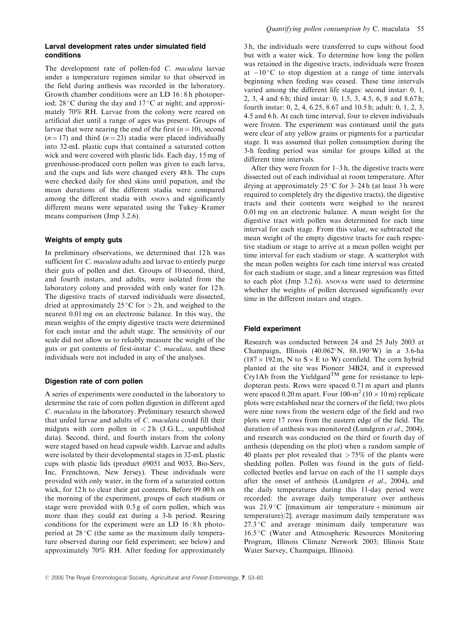#### Larval development rates under simulated field conditions

The development rate of pollen-fed C. maculata larvae under a temperature regimen similar to that observed in the field during anthesis was recorded in the laboratory. Growth chamber conditions were an LD 16 : 8 h photoperiod;  $28^{\circ}$ C during the day and  $17^{\circ}$ C at night; and approximately 70% RH. Larvae from the colony were reared on artificial diet until a range of ages was present. Groups of larvae that were nearing the end of the first  $(n = 10)$ , second  $(n = 17)$  and third  $(n = 23)$  stadia were placed individually into 32-mL plastic cups that contained a saturated cotton wick and were covered with plastic lids. Each day, 15 mg of greenhouse-produced corn pollen was given to each larva, and the cups and lids were changed every 48 h. The cups were checked daily for shed skins until pupation, and the mean durations of the different stadia were compared among the different stadia with ANOVA and significantly different means were separated using the Tukey–Kramer means comparison (Jmp 3.2.6).

#### Weights of empty guts

In preliminary observations, we determined that 12 h was sufficient for C. maculata adults and larvae to entirely purge their guts of pollen and diet. Groups of 10 second, third, and fourth instars, and adults, were isolated from the laboratory colony and provided with only water for 12 h. The digestive tracts of starved individuals were dissected, dried at approximately  $25^{\circ}$ C for  $> 2$  h, and weighed to the nearest 0.01 mg on an electronic balance. In this way, the mean weights of the empty digestive tracts were determined for each instar and the adult stage. The sensitivity of our scale did not allow us to reliably measure the weight of the guts or gut contents of first-instar C. maculata, and these individuals were not included in any of the analyses.

## Digestion rate of corn pollen

A series of experiments were conducted in the laboratory to determine the rate of corn pollen digestion in different aged C. maculata in the laboratory. Preliminary research showed that unfed larvae and adults of C. maculata could fill their midguts with corn pollen in  $\langle 2h (J.G.L., unpublished$ data). Second, third, and fourth instars from the colony were staged based on head capsule width. Larvae and adults were isolated by their developmental stages in 32-mL plastic cups with plastic lids (product #9051 and 9053, Bio-Serv, Inc, Frenchtown, New Jersey). These individuals were provided with only water, in the form of a saturated cotton wick, for 12 h to clear their gut contents. Before 09.00 h on the morning of the experiment, groups of each stadium or stage were provided with 0.5 g of corn pollen, which was more than they could eat during a 3-h period. Rearing conditions for the experiment were an LD 16 : 8 h photoperiod at  $28^{\circ}$ C (the same as the maximum daily temperature observed during our field experiment; see below) and approximately 70% RH. After feeding for approximately 3 h, the individuals were transferred to cups without food but with a water wick. To determine how long the pollen was retained in the digestive tracts, individuals were frozen at  $-10$  °C to stop digestion at a range of time intervals beginning when feeding was ceased. These time intervals varied among the different life stages: second instar: 0, 1, 2, 3, 4 and 6 h; third instar: 0, 1.5, 3, 4.5, 6, 8 and 8.67 h; fourth instar: 0, 2, 4, 6.25, 8.67 and 10.5 h; adult: 0, 1, 2, 3, 4.5 and 6 h. At each time interval, four to eleven individuals were frozen. The experiment was continued until the guts were clear of any yellow grains or pigments for a particular stage. It was assumed that pollen consumption during the 3-h feeding period was similar for groups killed at the different time intervals.

After they were frozen for 1–3 h, the digestive tracts were dissected out of each individual at room temperature. After drying at approximately  $25^{\circ}$ C for 3–24 h (at least 3 h were required to completely dry the digestive tracts), the digestive tracts and their contents were weighed to the nearest 0.01 mg on an electronic balance. A mean weight for the digestive tract with pollen was determined for each time interval for each stage. From this value, we subtracted the mean weight of the empty digestive tracts for each respective stadium or stage to arrive at a mean pollen weight per time interval for each stadium or stage. A scatterplot with the mean pollen weights for each time interval was created for each stadium or stage, and a linear regression was fitted to each plot (Jmp 3.2.6). ANOVAs were used to determine whether the weights of pollen decreased significantly over time in the different instars and stages.

#### Field experiment

Research was conducted between 24 and 25 July 2003 at Champaign, Illinois (40.062°N, 88.190°W) in a 3.6-ha  $(187 \times 192 \,\text{m}, \text{N}$  to  $\text{S} \times \text{E}$  to W) cornfield. The corn hybrid planted at the site was Pioneer 34B24, and it expressed Cry1Ab from the Yieldgard<sup>TM</sup> gene for resistance to lepidopteran pests. Rows were spaced 0.71 m apart and plants were spaced 0.20 m apart. Four  $100 \text{--} m^2$  ( $10 \times 10 \text{ m}$ ) replicate plots were established near the corners of the field; two plots were nine rows from the western edge of the field and two plots were 17 rows from the eastern edge of the field. The duration of anthesis was monitored (Lundgren et al., 2004), and research was conducted on the third or fourth day of anthesis (depending on the plot) when a random sample of 40 plants per plot revealed that  $> 75\%$  of the plants were shedding pollen. Pollen was found in the guts of fieldcollected beetles and larvae on each of the 11 sample days after the onset of anthesis (Lundgren et al., 2004), and the daily temperatures during this 11-day period were recorded: the average daily temperature over anthesis was  $21.9 \degree C$  [(maximum air temperature + minimum air temperature)/2]; average maximum daily temperature was  $27.3 \degree$ C and average minimum daily temperature was 16.5 C (Water and Atmospheric Resources Monitoring Program, Illinois Climate Network 2003; Illinois State Water Survey, Champaign, Illinois).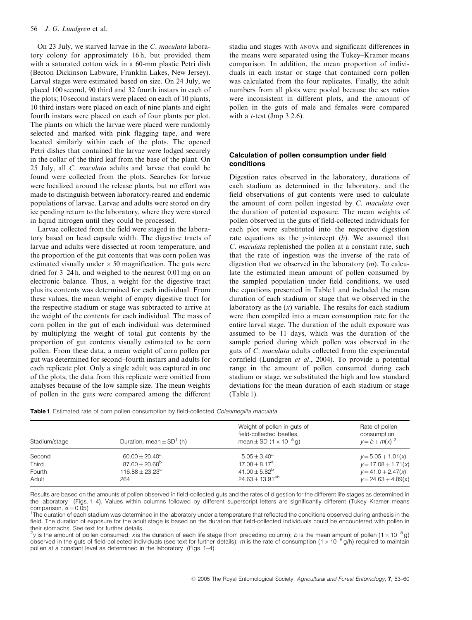On 23 July, we starved larvae in the C. maculata laboratory colony for approximately 16 h, but provided them with a saturated cotton wick in a 60-mm plastic Petri dish (Becton Dickinson Labware, Franklin Lakes, New Jersey). Larval stages were estimated based on size. On 24 July, we placed 100 second, 90 third and 32 fourth instars in each of the plots; 10 second instars were placed on each of 10 plants, 10 third instars were placed on each of nine plants and eight fourth instars were placed on each of four plants per plot. The plants on which the larvae were placed were randomly selected and marked with pink flagging tape, and were located similarly within each of the plots. The opened Petri dishes that contained the larvae were lodged securely in the collar of the third leaf from the base of the plant. On 25 July, all C. maculata adults and larvae that could be found were collected from the plots. Searches for larvae were localized around the release plants, but no effort was made to distinguish between laboratory-reared and endemic populations of larvae. Larvae and adults were stored on dry ice pending return to the laboratory, where they were stored in liquid nitrogen until they could be processed.

Larvae collected from the field were staged in the laboratory based on head capsule width. The digestive tracts of larvae and adults were dissected at room temperature, and the proportion of the gut contents that was corn pollen was estimated visually under  $\times$  50 magnification. The guts were dried for 3–24 h, and weighed to the nearest 0.01 mg on an electronic balance. Thus, a weight for the digestive tract plus its contents was determined for each individual. From these values, the mean weight of empty digestive tract for the respective stadium or stage was subtracted to arrive at the weight of the contents for each individual. The mass of corn pollen in the gut of each individual was determined by multiplying the weight of total gut contents by the proportion of gut contents visually estimated to be corn pollen. From these data, a mean weight of corn pollen per gut was determined for second–fourth instars and adults for each replicate plot. Only a single adult was captured in one of the plots; the data from this replicate were omitted from analyses because of the low sample size. The mean weights of pollen in the guts were compared among the different

stadia and stages with ANOVA and significant differences in the means were separated using the Tukey–Kramer means comparison. In addition, the mean proportion of individuals in each instar or stage that contained corn pollen was calculated from the four replicates. Finally, the adult numbers from all plots were pooled because the sex ratios were inconsistent in different plots, and the amount of pollen in the guts of male and females were compared with a *t*-test (Jmp  $3.2.6$ ).

## Calculation of pollen consumption under field conditions

Digestion rates observed in the laboratory, durations of each stadium as determined in the laboratory, and the field observations of gut contents were used to calculate the amount of corn pollen ingested by C. maculata over the duration of potential exposure. The mean weights of pollen observed in the guts of field-collected individuals for each plot were substituted into the respective digestion rate equations as the y-intercept  $(b)$ . We assumed that C. maculata replenished the pollen at a constant rate, such that the rate of ingestion was the inverse of the rate of digestion that we observed in the laboratory  $(m)$ . To calculate the estimated mean amount of pollen consumed by the sampled population under field conditions, we used the equations presented in Table 1 and included the mean duration of each stadium or stage that we observed in the laboratory as the  $(x)$  variable. The results for each stadium were then compiled into a mean consumption rate for the entire larval stage. The duration of the adult exposure was assumed to be 11 days, which was the duration of the sample period during which pollen was observed in the guts of C. maculata adults collected from the experimental cornfield (Lundgren et al., 2004). To provide a potential range in the amount of pollen consumed during each stadium or stage, we substituted the high and low standard deviations for the mean duration of each stadium or stage (Table 1).

Table 1 Estimated rate of corn pollen consumption by field-collected Coleomegilla maculata

|               | Duration, mean $\pm$ SD <sup>1</sup> (h) | Weight of pollen in guts of                                               | Rate of pollen                    |
|---------------|------------------------------------------|---------------------------------------------------------------------------|-----------------------------------|
| Stadium/stage |                                          | field-collected beetles.<br>mean $\pm$ SD (1 $\times$ 10 <sup>-5</sup> g) | consumption<br>$v = b + m(x)^{2}$ |
| Second        | $60.00 \pm 20.40^a$                      | $5.05 + 3.40^a$                                                           | $v = 5.05 + 1.01(x)$              |
| Third         | $87.60 \pm 20.68^{\circ}$                | $17.08 \pm 8.17^a$                                                        | $v = 17.08 + 1.71(x)$             |
| Fourth        | $116.88 \pm 23.23$ <sup>c</sup>          | $41.00 \pm 5.82^b$                                                        | $y = 41.0 + 2.47(x)$              |
| Adult         | 264                                      | $24.63 \pm 13.91^{ab}$                                                    | $v = 24.63 + 4.89(x)$             |

Results are based on the amounts of pollen observed in field-collected guts and the rates of digestion for the different life stages as determined in the laboratory (Figs. 1–4). Values within columns followed by different superscript letters are significantly different (Tukey–Kramer means comparison,  $\alpha = 0.05$ 

<sup>1</sup>The duration of each stadium was determined in the laboratory under a temperature that reflected the conditions observed during anthesis in the field. The duration of exposure for the adult stage is based on the duration that field-collected individuals could be encountered with pollen in their stomachs. See text for further details.

 $^2$ y is the amount of pollen consumed; xis the duration of each life stage (from preceding column); b is the mean amount of pollen (1 x 10<sup>-5</sup>g) observed in the guts of field-collected individuals (see text for further details); m is the rate of consumption  $(1 \times 10^{-5}$  g/h) required to maintain pollen at a constant level as determined in the laboratory (Figs. 1–4).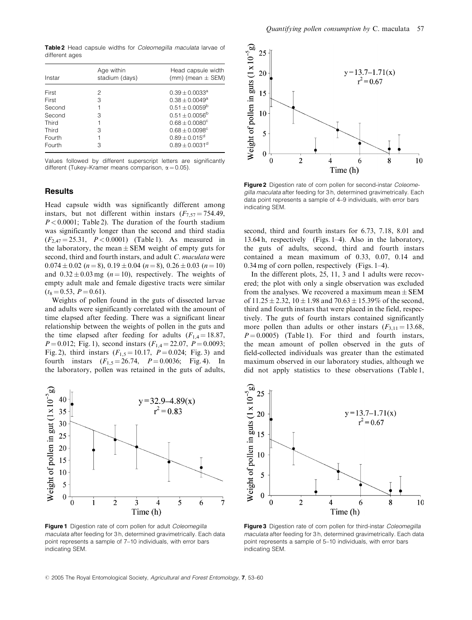Table 2 Head capsule widths for Coleomegilla maculata larvae of different ages

| Instar                                                         | Age within<br>stadium (days) | Head capsule width<br>$(mm)$ (mean $\pm$ SEM)                                                                                                                                                      |
|----------------------------------------------------------------|------------------------------|----------------------------------------------------------------------------------------------------------------------------------------------------------------------------------------------------|
| First<br>First<br>Second<br>Second<br>Third<br>Third<br>Fourth | 2<br>3<br>3<br>З             | $0.39 \pm 0.0033^a$<br>$0.38 \pm 0.0049^a$<br>$0.51 \pm 0.0059^{\rm b}$<br>$0.51 \pm 0.0056^{\text{b}}$<br>$0.68 \pm 0.0080^{\circ}$<br>$0.68 \pm 0.0098$ <sup>c</sup><br>$0.89 \pm 0.015^{\circ}$ |
| Fourth                                                         | З                            | $0.89 \pm 0.0031^d$                                                                                                                                                                                |

Values followed by different superscript letters are significantly different (Tukey–Kramer means comparison,  $\alpha = 0.05$ ).

## **Results**

Head capsule width was significantly different among instars, but not different within instars  $(F_{7,57} = 754.49)$ ,  $P < 0.0001$ ; Table 2). The duration of the fourth stadium was significantly longer than the second and third stadia  $(F_{2,47} = 25.31, P < 0.0001)$  (Table 1). As measured in the laboratory, the mean  $\pm$  SEM weight of empty guts for second, third and fourth instars, and adult C. maculata were  $0.074 \pm 0.02$  (n = 8),  $0.19 \pm 0.04$  (n = 8),  $0.26 \pm 0.03$  (n = 10) and  $0.32 \pm 0.03$  mg ( $n = 10$ ), respectively. The weights of empty adult male and female digestive tracts were similar  $(t_8 = 0.53, P = 0.61).$ 

Weights of pollen found in the guts of dissected larvae and adults were significantly correlated with the amount of time elapsed after feeding. There was a significant linear relationship between the weights of pollen in the guts and the time elapsed after feeding for adults  $(F_{1,4} = 18.87,$  $P = 0.012$ ; Fig. 1), second instars ( $F_{1,4} = 22.07$ ,  $P = 0.0093$ ; Fig. 2), third instars  $(F_{1,5} = 10.17, P = 0.024;$  Fig. 3) and fourth instars  $(F_{1.5} = 26.74, P = 0.0036;$  Fig. 4). In the laboratory, pollen was retained in the guts of adults,



Figure 1 Digestion rate of corn pollen for adult Coleomegilla maculata after feeding for 3 h, determined gravimetrically. Each data point represents a sample of 7–10 individuals, with error bars indicating SEM.



Figure 2 Digestion rate of corn pollen for second-instar Coleomegilla maculata after feeding for 3 h, determined gravimetrically. Each data point represents a sample of 4–9 individuals, with error bars indicating SEM.

second, third and fourth instars for 6.73, 7.18, 8.01 and 13.64 h, respectively (Figs. 1–4). Also in the laboratory, the guts of adults, second, third and fourth instars contained a mean maximum of 0.33, 0.07, 0.14 and 0.34 mg of corn pollen, respectively (Figs. 1–4).

In the different plots, 25, 11, 3 and 1 adults were recovered; the plot with only a single observation was excluded from the analyses. We recovered a maximum mean  $\pm$  SEM of  $11.25 \pm 2.32$ ,  $10 \pm 1.98$  and  $70.63 \pm 15.39\%$  of the second, third and fourth instars that were placed in the field, respectively. The guts of fourth instars contained significantly more pollen than adults or other instars  $(F_{3,11} = 13.68,$  $P = 0.0005$ ) (Table 1). For third and fourth instars, the mean amount of pollen observed in the guts of field-collected individuals was greater than the estimated maximum observed in our laboratory studies, although we did not apply statistics to these observations (Table 1,



**Figure 3** Digestion rate of corn pollen for third-instar *Coleomegilla* maculata after feeding for 3 h, determined gravimetrically. Each data point represents a sample of 5–10 individuals, with error bars indicating SEM.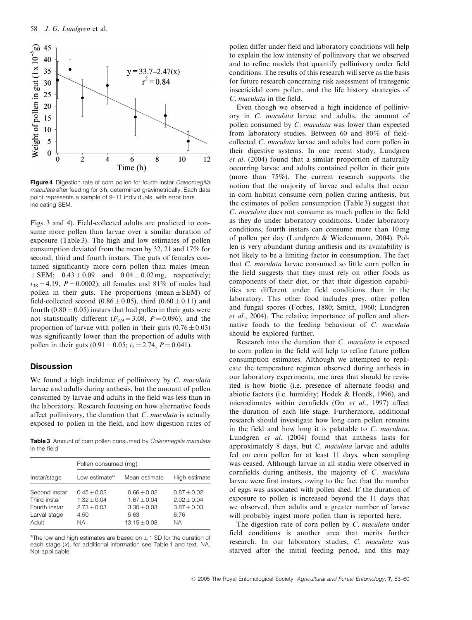

Figure 4 Digestion rate of corn pollen for fourth-instar Coleomegilla maculata after feeding for 3 h, determined gravimetrically. Each data point represents a sample of 9–11 individuals, with error bars indicating SEM.

Figs. 3 and 4). Field-collected adults are predicted to consume more pollen than larvae over a similar duration of exposure (Table 3). The high and low estimates of pollen consumption deviated from the mean by 32, 21 and 17% for second, third and fourth instars. The guts of females contained significantly more corn pollen than males (mean  $\pm$  SEM; 0.43  $\pm$  0.09 and 0.04  $\pm$  0.02 mg, respectively;  $t_{38} = 4.19$ ,  $P = 0.0002$ ; all females and 81% of males had pollen in their guts. The proportions (mean  $\pm$  SEM) of field-collected second (0.86  $\pm$  0.05), third (0.60  $\pm$  0.11) and fourth (0.80  $\pm$  0.05) instars that had pollen in their guts were not statistically different  $(F_{2,9} = 3.08, P = 0.096)$ , and the proportion of larvae with pollen in their guts  $(0.76 \pm 0.03)$ was significantly lower than the proportion of adults with pollen in their guts  $(0.91 \pm 0.05; t_5 = 2.74, P = 0.041)$ .

### Discussion

We found a high incidence of pollinivory by C. maculata larvae and adults during anthesis, but the amount of pollen consumed by larvae and adults in the field was less than in the laboratory. Research focusing on how alternative foods affect pollinivory, the duration that C. maculata is actually exposed to pollen in the field, and how digestion rates of

Table 3 Amount of corn pollen consumed by Coleomegilla maculata in the field

|                                                                         | Pollen consumed (mg)                                           |                                                                           |                                                                |  |
|-------------------------------------------------------------------------|----------------------------------------------------------------|---------------------------------------------------------------------------|----------------------------------------------------------------|--|
| Instar/stage                                                            | Low estimate <sup>a</sup>                                      | Mean estimate                                                             | High estimate                                                  |  |
| Second instar<br>Third instar<br>Fourth instar<br>Larval stage<br>Adult | $0.45 + 0.02$<br>$1.32 + 0.04$<br>$2.73 + 0.03$<br>4.50<br>NA. | $0.66 + 0.02$<br>$1.67 + 0.04$<br>$3.30 + 0.03$<br>5.63<br>$13.15 + 0.08$ | $0.87 + 0.02$<br>$2.02 + 0.04$<br>$3.87 + 0.03$<br>6.76<br>NA. |  |

<sup>a</sup>The low and high estimates are based on  $\pm$  1 SD for the duration of each stage (x), for additional information see Table 1 and text. NA, Not applicable.

pollen differ under field and laboratory conditions will help to explain the low intensity of pollinivory that we observed and to refine models that quantify pollinivory under field conditions. The results of this research will serve as the basis for future research concerning risk assessment of transgenic insecticidal corn pollen, and the life history strategies of C. maculata in the field.

Even though we observed a high incidence of pollinivory in C. maculata larvae and adults, the amount of pollen consumed by C. maculata was lower than expected from laboratory studies. Between 60 and 80% of fieldcollected C. maculata larvae and adults had corn pollen in their digestive systems. In one recent study, Lundgren et al. (2004) found that a similar proportion of naturally occurring larvae and adults contained pollen in their guts (more than 75%). The current research supports the notion that the majority of larvae and adults that occur in corn habitat consume corn pollen during anthesis, but the estimates of pollen consumption (Table 3) suggest that C. maculata does not consume as much pollen in the field as they do under laboratory conditions. Under laboratory conditions, fourth instars can consume more than 10 mg of pollen per day (Lundgren & Wiedenmann, 2004). Pollen is very abundant during anthesis and its availability is not likely to be a limiting factor in consumption. The fact that C. maculata larvae consumed so little corn pollen in the field suggests that they must rely on other foods as components of their diet, or that their digestion capabilities are different under field conditions than in the laboratory. This other food includes prey, other pollen and fungal spores (Forbes, 1880; Smith, 1960; Lundgren et al., 2004). The relative importance of pollen and alternative foods to the feeding behaviour of C. maculata should be explored further.

Research into the duration that C. maculata is exposed to corn pollen in the field will help to refine future pollen consumption estimates. Although we attempted to replicate the temperature regimen observed during anthesis in our laboratory experiments, one area that should be revisited is how biotic (i.e. presence of alternate foods) and abiotic factors (i.e. humidity; Hodek & Honek, 1996), and microclimates within cornfields (Orr et al., 1997) affect the duration of each life stage. Furthermore, additional research should investigate how long corn pollen remains in the field and how long it is palatable to C. maculata. Lundgren et al. (2004) found that anthesis lasts for approximately 8 days, but C. maculata larvae and adults fed on corn pollen for at least 11 days, when sampling was ceased. Although larvae in all stadia were observed in cornfields during anthesis, the majority of C. maculata larvae were first instars, owing to the fact that the number of eggs was associated with pollen shed. If the duration of exposure to pollen is increased beyond the 11 days that we observed, then adults and a greater number of larvae will probably ingest more pollen than is reported here.

The digestion rate of corn pollen by C. maculata under field conditions is another area that merits further research. In our laboratory studies, C. maculata was starved after the initial feeding period, and this may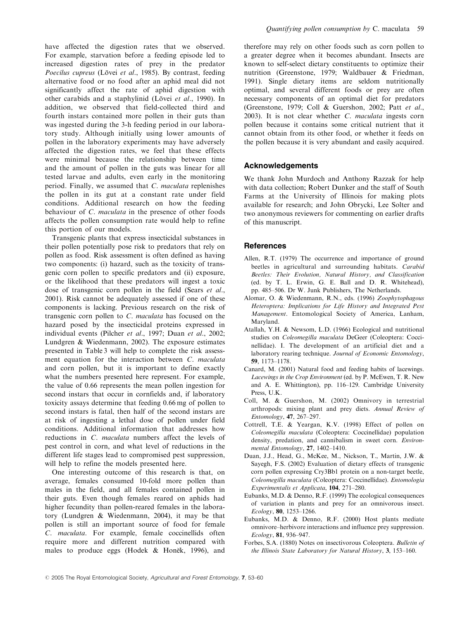have affected the digestion rates that we observed. For example, starvation before a feeding episode led to increased digestion rates of prey in the predator Poecilus cupreus (Lövei et al., 1985). By contrast, feeding alternative food or no food after an aphid meal did not significantly affect the rate of aphid digestion with other carabids and a staphylinid (Lövei et al., 1990). In addition, we observed that field-collected third and fourth instars contained more pollen in their guts than was ingested during the 3-h feeding period in our laboratory study. Although initially using lower amounts of pollen in the laboratory experiments may have adversely affected the digestion rates, we feel that these effects were minimal because the relationship between time and the amount of pollen in the guts was linear for all tested larvae and adults, even early in the monitoring period. Finally, we assumed that C. maculata replenishes the pollen in its gut at a constant rate under field conditions. Additional research on how the feeding behaviour of C. maculata in the presence of other foods affects the pollen consumption rate would help to refine this portion of our models.

Transgenic plants that express insecticidal substances in their pollen potentially pose risk to predators that rely on pollen as food. Risk assessment is often defined as having two components: (i) hazard, such as the toxicity of transgenic corn pollen to specific predators and (ii) exposure, or the likelihood that these predators will ingest a toxic dose of transgenic corn pollen in the field (Sears et al., 2001). Risk cannot be adequately assessed if one of these components is lacking. Previous research on the risk of transgenic corn pollen to C. maculata has focused on the hazard posed by the insecticidal proteins expressed in individual events (Pilcher et al., 1997; Duan et al., 2002; Lundgren & Wiedenmann, 2002). The exposure estimates presented in Table 3 will help to complete the risk assessment equation for the interaction between C. maculata and corn pollen, but it is important to define exactly what the numbers presented here represent. For example, the value of 0.66 represents the mean pollen ingestion for second instars that occur in cornfields and, if laboratory toxicity assays determine that feeding 0.66 mg of pollen to second instars is fatal, then half of the second instars are at risk of ingesting a lethal dose of pollen under field conditions. Additional information that addresses how reductions in C. maculata numbers affect the levels of pest control in corn, and what level of reductions in the different life stages lead to compromised pest suppression, will help to refine the models presented here.

One interesting outcome of this research is that, on average, females consumed 10-fold more pollen than males in the field, and all females contained pollen in their guts. Even though females reared on aphids had higher fecundity than pollen-reared females in the laboratory (Lundgren & Wiedenmann, 2004), it may be that pollen is still an important source of food for female C. maculata. For example, female coccinellids often require more and different nutrition compared with males to produce eggs (Hodek & Honek, 1996), and therefore may rely on other foods such as corn pollen to a greater degree when it becomes abundant. Insects are known to self-select dietary constituents to optimize their nutrition (Greenstone, 1979; Waldbauer & Friedman, 1991). Single dietary items are seldom nutritionally optimal, and several different foods or prey are often necessary components of an optimal diet for predators (Greenstone, 1979; Coll & Guershon, 2002; Patt et al., 2003). It is not clear whether C. maculata ingests corn pollen because it contains some critical nutrient that it cannot obtain from its other food, or whether it feeds on the pollen because it is very abundant and easily acquired.

## Acknowledgements

We thank John Murdoch and Anthony Razzak for help with data collection; Robert Dunker and the staff of South Farms at the University of Illinois for making plots available for research; and John Obrycki, Lee Solter and two anonymous reviewers for commenting on earlier drafts of this manuscript.

### **References**

- Allen, R.T. (1979) The occurrence and importance of ground beetles in agricultural and surrounding habitats. Carabid Beetles: Their Evolution, Natural History, and Classification (ed. by T. L. Erwin, G. E. Ball and D. R. Whitehead), pp. 485–506. Dr W. Junk Publishers, The Netherlands.
- Alomar, O. & Wiedenmann, R.N., eds. (1996) Zoophytophagous Heteroptera: Implications for Life History and Integrated Pest Management. Entomological Society of America, Lanham, Maryland.
- Atallah, Y.H. & Newsom, L.D. (1966) Ecological and nutritional studies on Coleomegilla maculata DeGeer (Coleoptera: Coccinellidae). I. The development of an artificial diet and a laboratory rearing technique. Journal of Economic Entomology, 59, 1173–1178.
- Canard, M. (2001) Natural food and feeding habits of lacewings. Lacewings in the Crop Environment (ed. by P. McEwen, T. R. New and A. E. Whittington), pp. 116–129. Cambridge University Press, U.K.
- Coll, M. & Guershon, M. (2002) Omnivory in terrestrial arthropods: mixing plant and prey diets. Annual Review of Entomology, 47, 267–297.
- Cottrell, T.E. & Yeargan, K.V. (1998) Effect of pollen on Coleomegilla maculata (Coleoptera: Coccinellidae) population density, predation, and cannibalism in sweet corn. *Environ*mental Entomology, 27, 1402–1410.
- Duan, J.J., Head, G., McKee, M., Nickson, T., Martin, J.W. & Sayegh, F.S. (2002) Evaluation of dietary effects of transgenic corn pollen expressing Cry3Bb1 protein on a non-target beetle, Coleomegilla maculata (Coleoptera: Coccinellidae). Entomologia Experimentalis et Applicata, 104, 271–280.
- Eubanks, M.D. & Denno, R.F. (1999) The ecological consequences of variation in plants and prey for an omnivorous insect. Ecology, 80, 1253–1266.
- Eubanks, M.D. & Denno, R.F. (2000) Host plants mediate omnivore–herbivore interactions and influence prey suppression. Ecology, 81, 936–947.
- Forbes, S.A. (1880) Notes on insectivorous Coleoptera. Bulletin of the Illinois State Laboratory for Natural History, 3, 153–160.